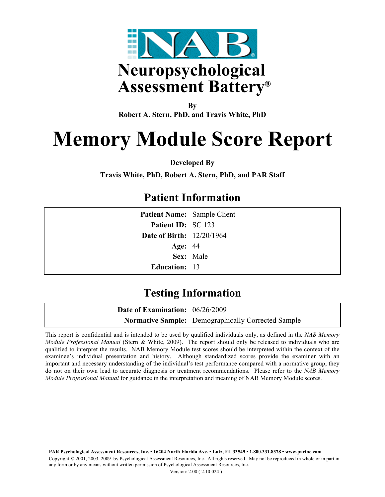

**By Robert A. Stern, PhD, and Travis White, PhD**

# **Memory Module Score Report**

**Developed By**

**Travis White, PhD, Robert A. Stern, PhD, and PAR Staff**

#### **Patient Information**

| <b>Patient Name:</b> Sample Client |           |
|------------------------------------|-----------|
| Patient ID: SC 123                 |           |
| <b>Date of Birth:</b> 12/20/1964   |           |
| <b>Age: 44</b>                     |           |
|                                    | Sex: Male |
| <b>Education: 13</b>               |           |

### **Testing Information**

**Date of Examination:** 06/26/2009 **Normative Sample:** Demographically Corrected Sample

This report is confidential and is intended to be used by qualified individuals only, as defined in the *NAB Memory Module Professional Manual* (Stern & White, 2009). The report should only be released to individuals who are qualified to interpret the results. NAB Memory Module test scores should be interpreted within the context of the examinee's individual presentation and history. Although standardized scores provide the examiner with an important and necessary understanding of the individual's test performance compared with a normative group, they do not on their own lead to accurate diagnosis or treatment recommendations. Please refer to the *NAB Memory Module Professional Manual* for guidance in the interpretation and meaning of NAB Memory Module scores.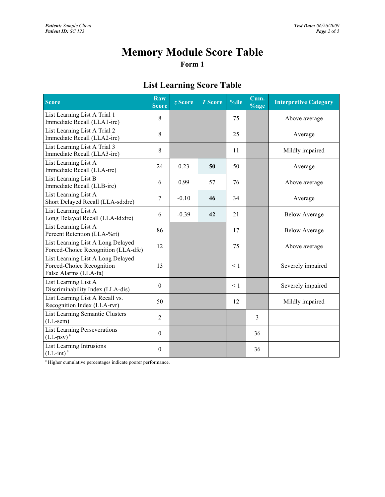# **Memory Module Score Table**

**Form 1**

#### **List Learning Score Table**

| Score                                                                                   | <b>Raw</b><br><b>Score</b> | z Score | <b>T</b> Score | %ile     | Cum.<br>$\sqrt{2}$ age | <b>Interpretive Category</b> |
|-----------------------------------------------------------------------------------------|----------------------------|---------|----------------|----------|------------------------|------------------------------|
| List Learning List A Trial 1<br>Immediate Recall (LLA1-irc)                             | 8                          |         |                | 75       |                        | Above average                |
| List Learning List A Trial 2<br>Immediate Recall (LLA2-irc)                             | 8                          |         |                | 25       |                        | Average                      |
| List Learning List A Trial 3<br>Immediate Recall (LLA3-irc)                             | 8                          |         |                | 11       |                        | Mildly impaired              |
| List Learning List A<br>Immediate Recall (LLA-irc)                                      | 24                         | 0.23    | 50             | 50       |                        | Average                      |
| List Learning List B<br>Immediate Recall (LLB-irc)                                      | 6                          | 0.99    | 57             | 76       |                        | Above average                |
| List Learning List A<br>Short Delayed Recall (LLA-sd:drc)                               | $\overline{7}$             | $-0.10$ | 46             | 34       |                        | Average                      |
| List Learning List A<br>Long Delayed Recall (LLA-ld:drc)                                | 6                          | $-0.39$ | 42             | 21       |                        | <b>Below Average</b>         |
| List Learning List A<br>Percent Retention (LLA-%rt)                                     | 86                         |         |                | 17       |                        | <b>Below Average</b>         |
| List Learning List A Long Delayed<br>Forced-Choice Recognition (LLA-dfc)                | 12                         |         |                | 75       |                        | Above average                |
| List Learning List A Long Delayed<br>Forced-Choice Recognition<br>False Alarms (LLA-fa) | 13                         |         |                | $\leq 1$ |                        | Severely impaired            |
| List Learning List A<br>Discriminability Index (LLA-dis)                                | $\mathbf{0}$               |         |                | $\leq 1$ |                        | Severely impaired            |
| List Learning List A Recall vs.<br>Recognition Index (LLA-rvr)                          | 50                         |         |                | 12       |                        | Mildly impaired              |
| List Learning Semantic Clusters<br>$(LL$ -sem $)$                                       | $\overline{2}$             |         |                |          | 3                      |                              |
| <b>List Learning Perseverations</b><br>$(LL$ -psv $)^a$                                 | $\boldsymbol{0}$           |         |                |          | 36                     |                              |
| List Learning Intrusions<br>$(LL-int)a$                                                 | $\theta$                   |         |                |          | 36                     |                              |

<sup>a</sup> Higher cumulative percentages indicate poorer performance.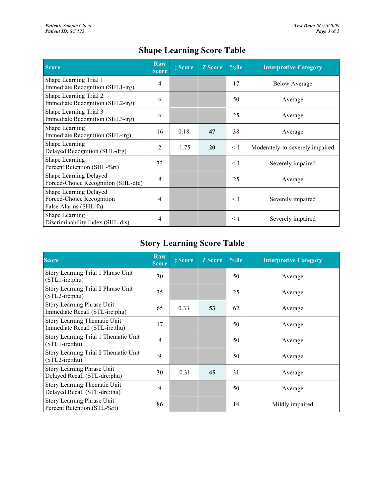#### **Shape Learning Score Table**

| Score                                                                        | Raw<br><b>Score</b> | $z$ Score | $T$ Score | $%$ ile  | <b>Interpretive Category</b>    |  |
|------------------------------------------------------------------------------|---------------------|-----------|-----------|----------|---------------------------------|--|
| Shape Learning Trial 1<br>Immediate Recognition (SHL1-irg)                   | 4                   |           |           | 17       | <b>Below Average</b>            |  |
| Shape Learning Trial 2<br>Immediate Recognition (SHL2-irg)                   | 6                   |           |           | 50       | Average                         |  |
| Shape Learning Trial 3<br>Immediate Recognition (SHL3-irg)                   | 6                   |           |           | 25       | Average                         |  |
| Shape Learning<br>Immediate Recognition (SHL-irg)                            | 16                  | 0.18      | 47        | 38       | Average                         |  |
| Shape Learning<br>Delayed Recognition (SHL-drg)                              | 2                   | $-1.75$   | 20        | $\leq 1$ | Moderately-to-severely impaired |  |
| Shape Learning<br>Percent Retention (SHL-%rt)                                | 33                  |           |           | $\leq 1$ | Severely impaired               |  |
| Shape Learning Delayed<br>Forced-Choice Recognition (SHL-dfc)                | 8                   |           |           | 25       | Average                         |  |
| Shape Learning Delayed<br>Forced-Choice Recognition<br>False Alarms (SHL-fa) | 4                   |           |           | $\leq$ 1 | Severely impaired               |  |
| Shape Learning<br>Discriminability Index (SHL-dis)                           | 4                   |           |           | $\leq$ 1 | Severely impaired               |  |

#### **Story Learning Score Table**

| <b>Score</b>                                                   | <b>Raw</b><br><b>Score</b> | z Score | <b>T</b> Score | $%$ ile | <b>Interpretive Category</b> |  |
|----------------------------------------------------------------|----------------------------|---------|----------------|---------|------------------------------|--|
| Story Learning Trial 1 Phrase Unit<br>$(STL1-irc:phu)$         | 30                         |         |                | 50      | Average                      |  |
| Story Learning Trial 2 Phrase Unit<br>$(STL2-irc:phu)$         | 35                         |         |                | 25      | Average                      |  |
| Story Learning Phrase Unit<br>Immediate Recall (STL-irc:phu)   | 65                         | 0.33    | 53             | 62      | Average                      |  |
| Story Learning Thematic Unit<br>Immediate Recall (STL-irc:thu) | 17                         |         |                | 50      | Average                      |  |
| Story Learning Trial 1 Thematic Unit<br>$(STL1-irc:$ thu)      | 8                          |         |                | 50      | Average                      |  |
| Story Learning Trial 2 Thematic Unit<br>$(STL2-irc:$ thu)      | 9                          |         |                | 50      | Average                      |  |
| Story Learning Phrase Unit<br>Delayed Recall (STL-drc:phu)     | 30                         | $-0.31$ | 45             | 31      | Average                      |  |
| Story Learning Thematic Unit<br>Delayed Recall (STL-drc:thu)   | 9                          |         |                | 50      | Average                      |  |
| Story Learning Phrase Unit<br>Percent Retention (STL-%rt)      | 86                         |         |                | 14      | Mildly impaired              |  |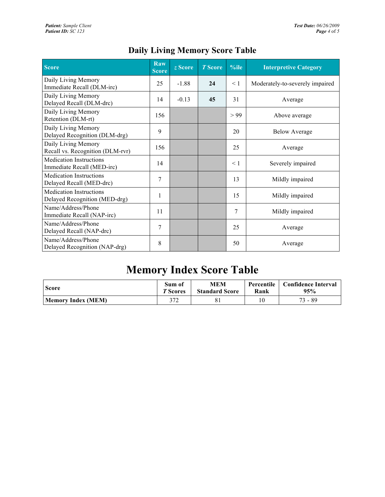| <b>Score</b>                                                    | Raw<br><b>Score</b> | z Score | <b>T</b> Score | $%$ ile  | <b>Interpretive Category</b>    |  |
|-----------------------------------------------------------------|---------------------|---------|----------------|----------|---------------------------------|--|
| Daily Living Memory<br>Immediate Recall (DLM-irc)               | 25                  | $-1.88$ | 24             | $\leq$ 1 | Moderately-to-severely impaired |  |
| Daily Living Memory<br>Delayed Recall (DLM-drc)                 | 14                  | $-0.13$ | 45             | 31       | Average                         |  |
| Daily Living Memory<br>Retention (DLM-rt)                       | 156                 |         |                | > 99     | Above average                   |  |
| Daily Living Memory<br>Delayed Recognition (DLM-drg)            | 9                   |         |                | 20       | <b>Below Average</b>            |  |
| Daily Living Memory<br>Recall vs. Recognition (DLM-rvr)         | 156                 |         |                | 25       | Average                         |  |
| <b>Medication Instructions</b><br>Immediate Recall (MED-irc)    | 14                  |         |                | $\leq 1$ | Severely impaired               |  |
| <b>Medication Instructions</b><br>Delayed Recall (MED-drc)      | 7                   |         |                | 13       | Mildly impaired                 |  |
| <b>Medication Instructions</b><br>Delayed Recognition (MED-drg) | 1                   |         |                | 15       | Mildly impaired                 |  |
| Name/Address/Phone<br>Immediate Recall (NAP-irc)                | 11                  |         |                | 7        | Mildly impaired                 |  |
| Name/Address/Phone<br>Delayed Recall (NAP-drc)                  | 7                   |         |                | 25       | Average                         |  |
| Name/Address/Phone<br>Delayed Recognition (NAP-drg)             | 8                   |         |                | 50       | Average                         |  |

#### **Daily Living Memory Score Table**

# **Memory Index Score Table**

| <b>Score</b>       | Sum of          | <b>MEM</b>            | Percentile | <b>Confidence Interval</b> |
|--------------------|-----------------|-----------------------|------------|----------------------------|
|                    | <i>T</i> Scores | <b>Standard Score</b> | Rank       | 95%                        |
| Memory Index (MEM) | 270             |                       |            | 73 - 89                    |